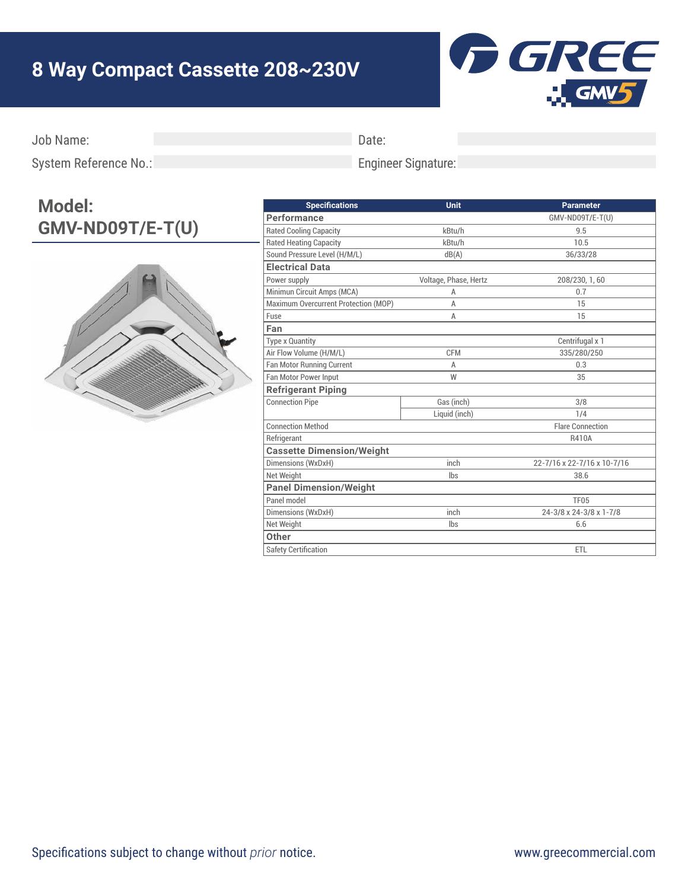## **8 Way Compact Cassette 208~230V**



Job Name:

Date:

System Reference No.:

## Engineer Signature:

## **Model: GMV-ND09T/E-T(U)**



| <b>Specifications</b>                | <b>Unit</b>           | <b>Parameter</b>            |
|--------------------------------------|-----------------------|-----------------------------|
| Performance                          |                       | GMV-ND09T/E-T(U)            |
| <b>Rated Cooling Capacity</b>        | kBtu/h                | 9.5                         |
| <b>Rated Heating Capacity</b>        | kBtu/h                | 10.5                        |
| Sound Pressure Level (H/M/L)         | dB(A)                 | 36/33/28                    |
| <b>Electrical Data</b>               |                       |                             |
| Power supply                         | Voltage, Phase, Hertz | 208/230, 1, 60              |
| Minimun Circuit Amps (MCA)           | Α                     | 0.7                         |
| Maximum Overcurrent Protection (MOP) | Α                     | 15                          |
| Fuse                                 | Α                     | 15                          |
| Fan                                  |                       |                             |
| Type x Quantity                      |                       | Centrifugal x 1             |
| Air Flow Volume (H/M/L)              | <b>CFM</b>            | 335/280/250                 |
| Fan Motor Running Current            | A                     | 0.3                         |
| Fan Motor Power Input                | W                     | 35                          |
| <b>Refrigerant Piping</b>            |                       |                             |
| <b>Connection Pipe</b>               | Gas (inch)            | 3/8                         |
|                                      | Liquid (inch)         | 1/4                         |
| <b>Connection Method</b>             |                       | <b>Flare Connection</b>     |
| Refrigerant                          |                       | R410A                       |
| <b>Cassette Dimension/Weight</b>     |                       |                             |
| Dimensions (WxDxH)                   | inch                  | 22-7/16 x 22-7/16 x 10-7/16 |
| Net Weight                           | Ibs                   | 38.6                        |
| <b>Panel Dimension/Weight</b>        |                       |                             |
| Panel model                          |                       | <b>TF05</b>                 |
| Dimensions (WxDxH)                   | inch                  | 24-3/8 x 24-3/8 x 1-7/8     |
| Net Weight                           | lbs                   | 6.6                         |
| Other                                |                       |                             |
| <b>Safety Certification</b>          |                       | <b>ETL</b>                  |